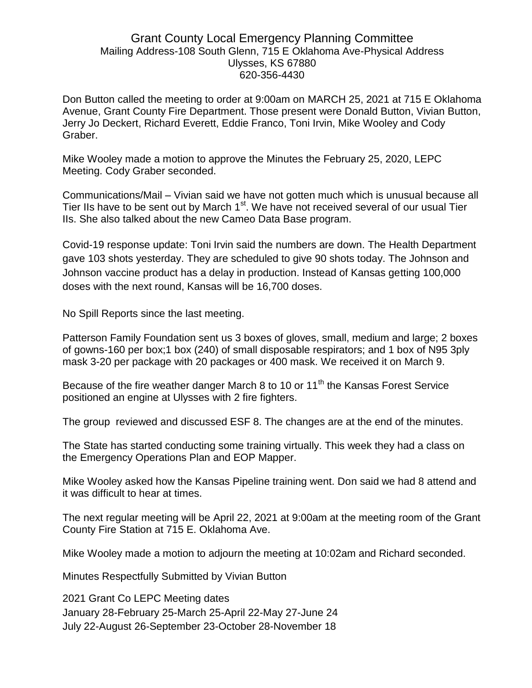# Grant County Local Emergency Planning Committee Mailing Address-108 South Glenn, 715 E Oklahoma Ave-Physical Address Ulysses, KS 67880 620-356-4430

Don Button called the meeting to order at 9:00am on MARCH 25, 2021 at 715 E Oklahoma Avenue, Grant County Fire Department. Those present were Donald Button, Vivian Button, Jerry Jo Deckert, Richard Everett, Eddie Franco, Toni Irvin, Mike Wooley and Cody Graber.

Mike Wooley made a motion to approve the Minutes the February 25, 2020, LEPC Meeting. Cody Graber seconded.

Communications/Mail – Vivian said we have not gotten much which is unusual because all Tier IIs have to be sent out by March 1<sup>st</sup>. We have not received several of our usual Tier IIs. She also talked about the new Cameo Data Base program.

Covid-19 response update: Toni Irvin said the numbers are down. The Health Department gave 103 shots yesterday. They are scheduled to give 90 shots today. The Johnson and Johnson vaccine product has a delay in production. Instead of Kansas getting 100,000 doses with the next round, Kansas will be 16,700 doses.

No Spill Reports since the last meeting.

Patterson Family Foundation sent us 3 boxes of gloves, small, medium and large; 2 boxes of gowns-160 per box;1 box (240) of small disposable respirators; and 1 box of N95 3ply mask 3-20 per package with 20 packages or 400 mask. We received it on March 9.

Because of the fire weather danger March 8 to 10 or 11<sup>th</sup> the Kansas Forest Service positioned an engine at Ulysses with 2 fire fighters.

The group reviewed and discussed ESF 8. The changes are at the end of the minutes.

The State has started conducting some training virtually. This week they had a class on the Emergency Operations Plan and EOP Mapper.

Mike Wooley asked how the Kansas Pipeline training went. Don said we had 8 attend and it was difficult to hear at times.

The next regular meeting will be April 22, 2021 at 9:00am at the meeting room of the Grant County Fire Station at 715 E. Oklahoma Ave.

Mike Wooley made a motion to adjourn the meeting at 10:02am and Richard seconded.

Minutes Respectfully Submitted by Vivian Button

2021 Grant Co LEPC Meeting dates January 28-February 25-March 25-April 22-May 27-June 24 July 22-August 26-September 23-October 28-November 18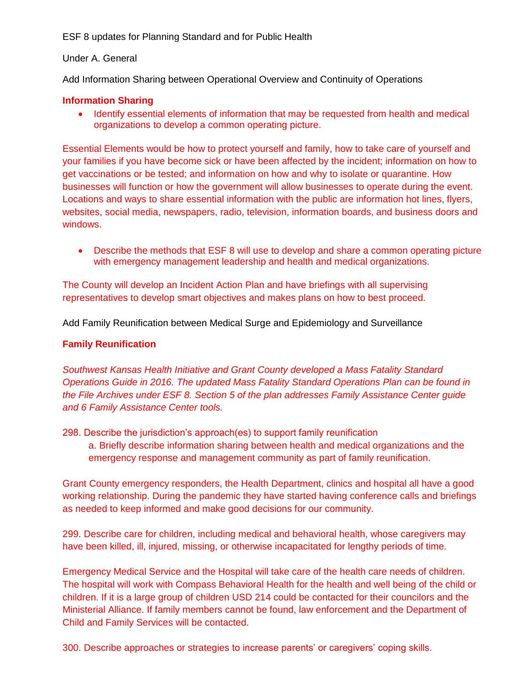ESF 8 updates for Planning Standard and for Public Health

### Under A. General

Add Information Sharing between Operational Overview and Continuity of Operations

### **Information Sharing**

• Identify essential elements of information that may be requested from health and medical organizations to develop a common operating picture.

Essential Elements would be how to protect yourself and family, how to take care of yourself and your families if you have become sick or have been affected by the incident; information on how to get vaccinations or be tested; and information on how and why to isolate or quarantine. How businesses will function or how the government will allow businesses to operate during the event. Locations and ways to share essential information with the public are information hot lines, flyers, websites, social media, newspapers, radio, television, information boards, and business doors and windows.

 Describe the methods that ESF 8 will use to develop and share a common operating picture with emergency management leadership and health and medical organizations.

The County will develop an Incident Action Plan and have briefings with all supervising representatives to develop smart objectives and makes plans on how to best proceed.

Add Family Reunification between Medical Surge and Epidemiology and Surveillance

### **Family Reunification**

*Southwest Kansas Health Initiative and Grant County developed a Mass Fatality Standard Operations Guide in 2016. The updated Mass Fatality Standard Operations Plan can be found in the File Archives under ESF 8. Section 5 of the plan addresses Family Assistance Center guide and 6 Family Assistance Center tools.*

298. Describe the jurisdiction's approach(es) to support family reunification

a. Briefly describe information sharing between health and medical organizations and the emergency response and management community as part of family reunification.

Grant County emergency responders, the Health Department, clinics and hospital all have a good working relationship. During the pandemic they have started having conference calls and briefings as needed to keep informed and make good decisions for our community.

299. Describe care for children, including medical and behavioral health, whose caregivers may have been killed, ill, injured, missing, or otherwise incapacitated for lengthy periods of time.

Emergency Medical Service and the Hospital will take care of the health care needs of children. The hospital will work with Compass Behavioral Health for the health and well being of the child or children. If it is a large group of children USD 214 could be contacted for their councilors and the Ministerial Alliance. If family members cannot be found, law enforcement and the Department of Child and Family Services will be contacted.

300. Describe approaches or strategies to increase parents' or caregivers' coping skills.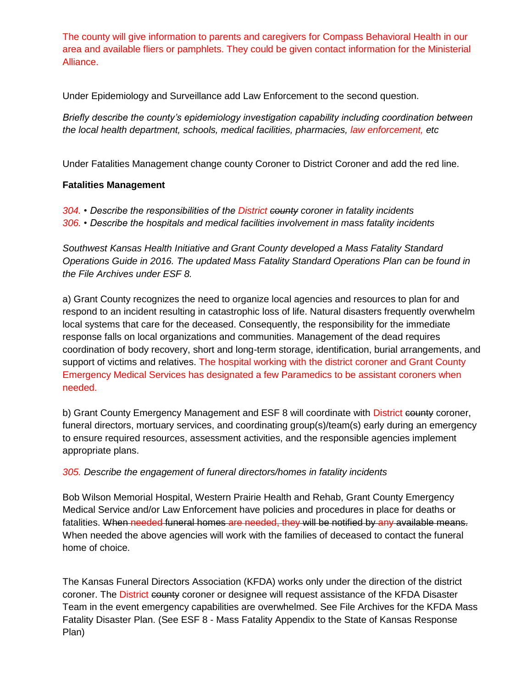The county will give information to parents and caregivers for Compass Behavioral Health in our area and available fliers or pamphlets. They could be given contact information for the Ministerial Alliance.

Under Epidemiology and Surveillance add Law Enforcement to the second question.

*Briefly describe the county's epidemiology investigation capability including coordination between the local health department, schools, medical facilities, pharmacies, law enforcement, etc*

Under Fatalities Management change county Coroner to District Coroner and add the red line.

## **Fatalities Management**

*304. • Describe the responsibilities of the District county coroner in fatality incidents 306. • Describe the hospitals and medical facilities involvement in mass fatality incidents*

*Southwest Kansas Health Initiative and Grant County developed a Mass Fatality Standard Operations Guide in 2016. The updated Mass Fatality Standard Operations Plan can be found in the File Archives under ESF 8.*

a) Grant County recognizes the need to organize local agencies and resources to plan for and respond to an incident resulting in catastrophic loss of life. Natural disasters frequently overwhelm local systems that care for the deceased. Consequently, the responsibility for the immediate response falls on local organizations and communities. Management of the dead requires coordination of body recovery, short and long-term storage, identification, burial arrangements, and support of victims and relatives. The hospital working with the district coroner and Grant County Emergency Medical Services has designated a few Paramedics to be assistant coroners when needed.

b) Grant County Emergency Management and ESF 8 will coordinate with District county coroner, funeral directors, mortuary services, and coordinating group(s)/team(s) early during an emergency to ensure required resources, assessment activities, and the responsible agencies implement appropriate plans.

# *305. Describe the engagement of funeral directors/homes in fatality incidents*

Bob Wilson Memorial Hospital, Western Prairie Health and Rehab, Grant County Emergency Medical Service and/or Law Enforcement have policies and procedures in place for deaths or fatalities. When needed funeral homes are needed, they will be notified by any available means. When needed the above agencies will work with the families of deceased to contact the funeral home of choice.

The Kansas Funeral Directors Association (KFDA) works only under the direction of the district coroner. The District county coroner or designee will request assistance of the KFDA Disaster Team in the event emergency capabilities are overwhelmed. See File Archives for the KFDA Mass Fatality Disaster Plan. (See ESF 8 - Mass Fatality Appendix to the State of Kansas Response Plan)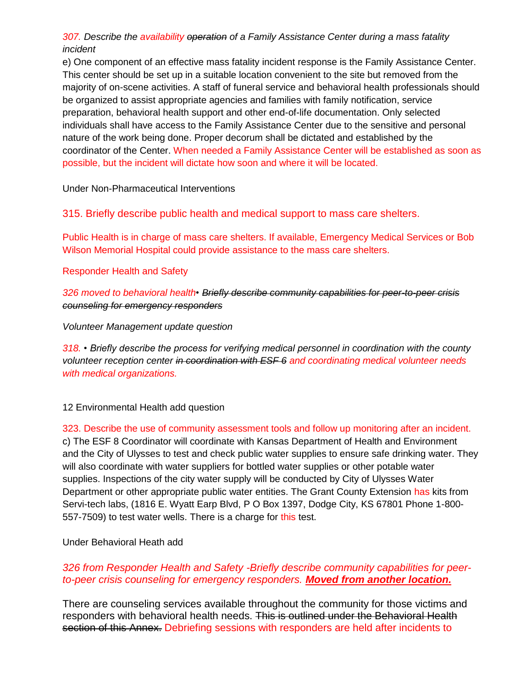## *307. Describe the availability operation of a Family Assistance Center during a mass fatality incident*

e) One component of an effective mass fatality incident response is the Family Assistance Center. This center should be set up in a suitable location convenient to the site but removed from the majority of on-scene activities. A staff of funeral service and behavioral health professionals should be organized to assist appropriate agencies and families with family notification, service preparation, behavioral health support and other end-of-life documentation. Only selected individuals shall have access to the Family Assistance Center due to the sensitive and personal nature of the work being done. Proper decorum shall be dictated and established by the coordinator of the Center. When needed a Family Assistance Center will be established as soon as possible, but the incident will dictate how soon and where it will be located.

Under Non-Pharmaceutical Interventions

315. Briefly describe public health and medical support to mass care shelters.

Public Health is in charge of mass care shelters. If available, Emergency Medical Services or Bob Wilson Memorial Hospital could provide assistance to the mass care shelters.

Responder Health and Safety

*326 moved to behavioral health• Briefly describe community capabilities for peer-to-peer crisis counseling for emergency responders*

*Volunteer Management update question*

*318. • Briefly describe the process for verifying medical personnel in coordination with the county volunteer reception center in coordination with ESF 6 and coordinating medical volunteer needs with medical organizations.*

12 Environmental Health add question

323. Describe the use of community assessment tools and follow up monitoring after an incident. c) The ESF 8 Coordinator will coordinate with Kansas Department of Health and Environment and the City of Ulysses to test and check public water supplies to ensure safe drinking water. They will also coordinate with water suppliers for bottled water supplies or other potable water supplies. Inspections of the city water supply will be conducted by City of Ulysses Water Department or other appropriate public water entities. The Grant County Extension has kits from Servi-tech labs, (1816 E. Wyatt Earp Blvd, P O Box 1397, Dodge City, KS 67801 Phone 1-800- 557-7509) to test water wells. There is a charge for this test.

Under Behavioral Heath add

# *326 from Responder Health and Safety -Briefly describe community capabilities for peerto-peer crisis counseling for emergency responders. Moved from another location.*

There are counseling services available throughout the community for those victims and responders with behavioral health needs. This is outlined under the Behavioral Health section of this Annex. Debriefing sessions with responders are held after incidents to